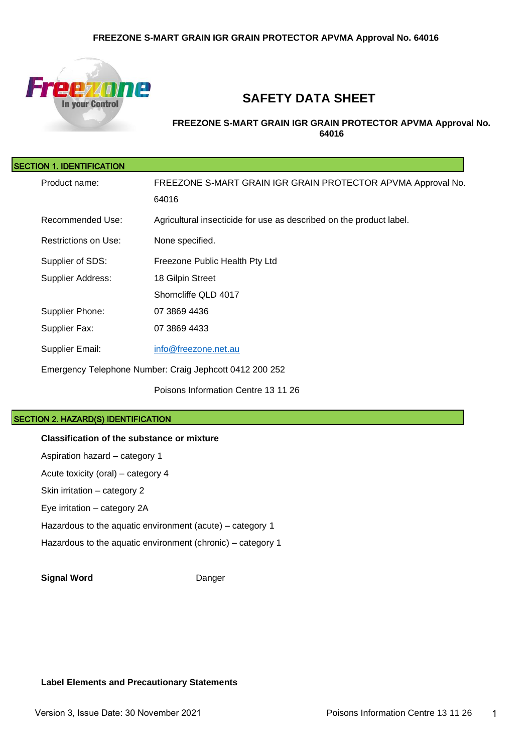

# **SAFETY DATA SHEET**

**FREEZONE S-MART GRAIN IGR GRAIN PROTECTOR APVMA Approval No. 64016**

| SECTION 1. IDENTIFICATION |                                                                     |
|---------------------------|---------------------------------------------------------------------|
| Product name:             | FREEZONE S-MART GRAIN IGR GRAIN PROTECTOR APVMA Approval No.        |
|                           | 64016                                                               |
| Recommended Use:          | Agricultural insecticide for use as described on the product label. |
| Restrictions on Use:      | None specified.                                                     |
| Supplier of SDS:          | Freezone Public Health Pty Ltd                                      |
| Supplier Address:         | 18 Gilpin Street                                                    |
|                           | Shorncliffe QLD 4017                                                |
| Supplier Phone:           | 07 3869 4436                                                        |
| Supplier Fax:             | 07 3869 4433                                                        |
| Supplier Email:           | info@freezone.net.au                                                |
|                           | Emergency Telephone Number: Craig Jephcott 0412 200 252             |
|                           | Poisons Information Centre 13 11 26                                 |

#### SECTION 2. HAZARD(S) IDENTIFICATION

#### **Classification of the substance or mixture**

Aspiration hazard – category 1 Acute toxicity (oral) – category 4 Skin irritation – category 2 Eye irritation – category 2A Hazardous to the aquatic environment (acute) – category 1 Hazardous to the aquatic environment (chronic) – category 1

**Signal Word** Danger

#### **Label Elements and Precautionary Statements**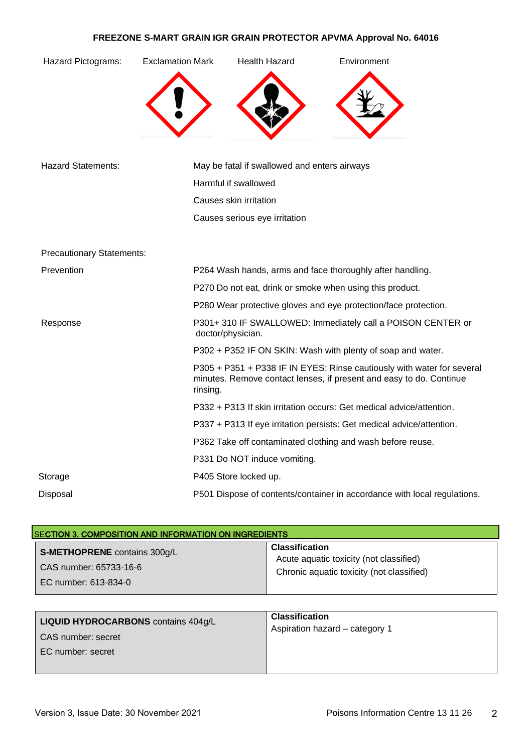| Hazard Pictograms:               | <b>Exclamation Mark</b> | <b>Health Hazard</b>                         | Environment                                                                                                                                   |
|----------------------------------|-------------------------|----------------------------------------------|-----------------------------------------------------------------------------------------------------------------------------------------------|
|                                  |                         |                                              |                                                                                                                                               |
| <b>Hazard Statements:</b>        |                         | May be fatal if swallowed and enters airways |                                                                                                                                               |
|                                  |                         | Harmful if swallowed                         |                                                                                                                                               |
|                                  |                         | Causes skin irritation                       |                                                                                                                                               |
|                                  |                         | Causes serious eye irritation                |                                                                                                                                               |
| <b>Precautionary Statements:</b> |                         |                                              |                                                                                                                                               |
| Prevention                       |                         |                                              | P264 Wash hands, arms and face thoroughly after handling.                                                                                     |
|                                  |                         |                                              | P270 Do not eat, drink or smoke when using this product.                                                                                      |
|                                  |                         |                                              | P280 Wear protective gloves and eye protection/face protection.                                                                               |
| Response                         |                         | doctor/physician.                            | P301+310 IF SWALLOWED: Immediately call a POISON CENTER or                                                                                    |
|                                  |                         |                                              | P302 + P352 IF ON SKIN: Wash with plenty of soap and water.                                                                                   |
|                                  | rinsing.                |                                              | P305 + P351 + P338 IF IN EYES: Rinse cautiously with water for several<br>minutes. Remove contact lenses, if present and easy to do. Continue |
|                                  |                         |                                              | P332 + P313 If skin irritation occurs: Get medical advice/attention.                                                                          |
|                                  |                         |                                              | P337 + P313 If eye irritation persists: Get medical advice/attention.                                                                         |
|                                  |                         |                                              | P362 Take off contaminated clothing and wash before reuse.                                                                                    |
|                                  |                         | P331 Do NOT induce vomiting.                 |                                                                                                                                               |
| Storage                          |                         | P405 Store locked up.                        |                                                                                                                                               |
| Disposal                         |                         |                                              | P501 Dispose of contents/container in accordance with local regulations.                                                                      |

| <b>SECTION 3. COMPOSITION AND INFORMATION ON INGREDIENTS</b> |                                           |  |
|--------------------------------------------------------------|-------------------------------------------|--|
| S-METHOPRENE contains 300g/L                                 | <b>Classification</b>                     |  |
| CAS number: 65733-16-6                                       | Acute aquatic toxicity (not classified)   |  |
| EC number: 613-834-0                                         | Chronic aquatic toxicity (not classified) |  |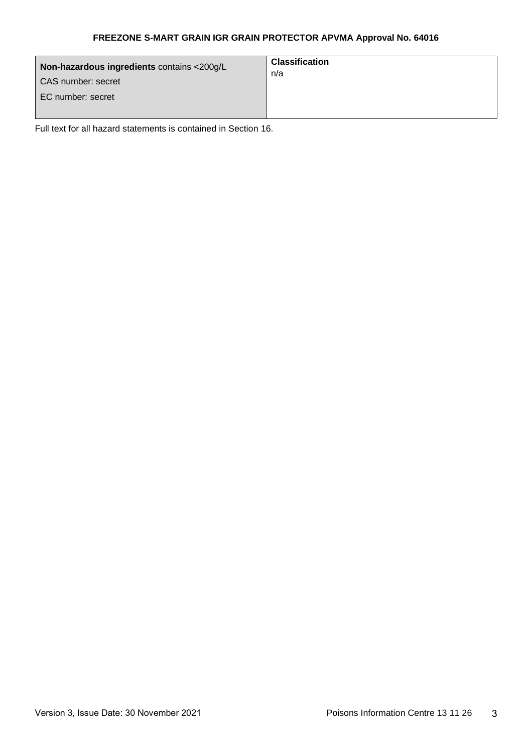| Non-hazardous ingredients contains <200g/L<br>CAS number: secret<br>EC number: secret | <b>Classification</b><br>n/a |
|---------------------------------------------------------------------------------------|------------------------------|
|---------------------------------------------------------------------------------------|------------------------------|

Full text for all hazard statements is contained in Section 16.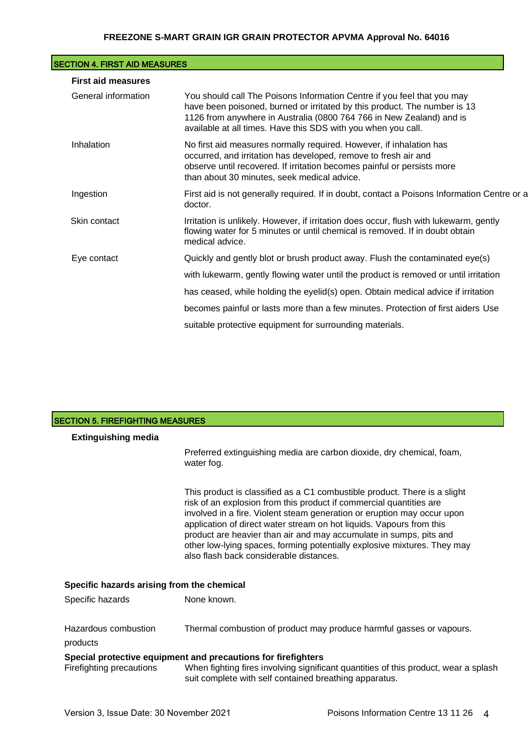| <b>SECTION 4. FIRST AID MEASURES</b> |                                                                                                                                                                                                                                                                                               |
|--------------------------------------|-----------------------------------------------------------------------------------------------------------------------------------------------------------------------------------------------------------------------------------------------------------------------------------------------|
| <b>First aid measures</b>            |                                                                                                                                                                                                                                                                                               |
| General information                  | You should call The Poisons Information Centre if you feel that you may<br>have been poisoned, burned or irritated by this product. The number is 13<br>1126 from anywhere in Australia (0800 764 766 in New Zealand) and is<br>available at all times. Have this SDS with you when you call. |
| Inhalation                           | No first aid measures normally required. However, if inhalation has<br>occurred, and irritation has developed, remove to fresh air and<br>observe until recovered. If irritation becomes painful or persists more<br>than about 30 minutes, seek medical advice.                              |
| Ingestion                            | First aid is not generally required. If in doubt, contact a Poisons Information Centre or a<br>doctor.                                                                                                                                                                                        |
| Skin contact                         | Irritation is unlikely. However, if irritation does occur, flush with lukewarm, gently<br>flowing water for 5 minutes or until chemical is removed. If in doubt obtain<br>medical advice.                                                                                                     |
| Eye contact                          | Quickly and gently blot or brush product away. Flush the contaminated eye(s)                                                                                                                                                                                                                  |
|                                      | with lukewarm, gently flowing water until the product is removed or until irritation                                                                                                                                                                                                          |
|                                      | has ceased, while holding the eyelid(s) open. Obtain medical advice if irritation                                                                                                                                                                                                             |
|                                      | becomes painful or lasts more than a few minutes. Protection of first aiders Use                                                                                                                                                                                                              |
|                                      | suitable protective equipment for surrounding materials.                                                                                                                                                                                                                                      |

| <b>SECTION 5. FIREFIGHTING MEASURES</b>    |                                                                                                                                                                                                                                                                                                                                                                                                                                                                                                  |  |
|--------------------------------------------|--------------------------------------------------------------------------------------------------------------------------------------------------------------------------------------------------------------------------------------------------------------------------------------------------------------------------------------------------------------------------------------------------------------------------------------------------------------------------------------------------|--|
| <b>Extinguishing media</b>                 |                                                                                                                                                                                                                                                                                                                                                                                                                                                                                                  |  |
|                                            | Preferred extinguishing media are carbon dioxide, dry chemical, foam,<br>water fog.                                                                                                                                                                                                                                                                                                                                                                                                              |  |
|                                            | This product is classified as a C1 combustible product. There is a slight<br>risk of an explosion from this product if commercial quantities are<br>involved in a fire. Violent steam generation or eruption may occur upon<br>application of direct water stream on hot liquids. Vapours from this<br>product are heavier than air and may accumulate in sumps, pits and<br>other low-lying spaces, forming potentially explosive mixtures. They may<br>also flash back considerable distances. |  |
| Specific hazards arising from the chemical |                                                                                                                                                                                                                                                                                                                                                                                                                                                                                                  |  |
| Specific hazards                           | None known.                                                                                                                                                                                                                                                                                                                                                                                                                                                                                      |  |
| Hazardous combustion<br>products           | Thermal combustion of product may produce harmful gasses or vapours.                                                                                                                                                                                                                                                                                                                                                                                                                             |  |
| Firefighting precautions                   | Special protective equipment and precautions for firefighters<br>When fighting fires involving significant quantities of this product, wear a splash<br>suit complete with self contained breathing apparatus.                                                                                                                                                                                                                                                                                   |  |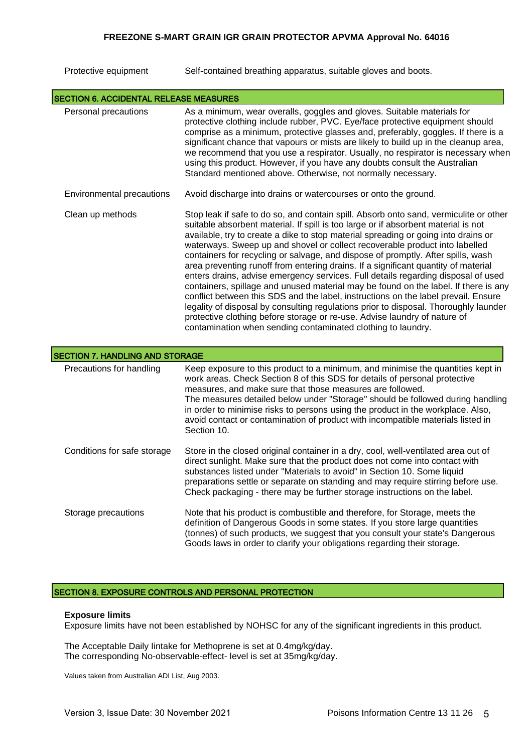| Protective equipment | Self-contained breathing apparatus, suitable gloves and boots. |  |
|----------------------|----------------------------------------------------------------|--|
|                      |                                                                |  |

|                                        | <b>SECTION 6. ACCIDENTAL RELEASE MEASURES</b>                                                                                                                                                                                                                                                                                                                                                                                                                                                                                                                                                                                                                                                                                                                                                                                                                                                                                                                                                                                     |  |  |
|----------------------------------------|-----------------------------------------------------------------------------------------------------------------------------------------------------------------------------------------------------------------------------------------------------------------------------------------------------------------------------------------------------------------------------------------------------------------------------------------------------------------------------------------------------------------------------------------------------------------------------------------------------------------------------------------------------------------------------------------------------------------------------------------------------------------------------------------------------------------------------------------------------------------------------------------------------------------------------------------------------------------------------------------------------------------------------------|--|--|
| Personal precautions                   | As a minimum, wear overalls, goggles and gloves. Suitable materials for<br>protective clothing include rubber, PVC. Eye/face protective equipment should<br>comprise as a minimum, protective glasses and, preferably, goggles. If there is a<br>significant chance that vapours or mists are likely to build up in the cleanup area,<br>we recommend that you use a respirator. Usually, no respirator is necessary when<br>using this product. However, if you have any doubts consult the Australian<br>Standard mentioned above. Otherwise, not normally necessary.                                                                                                                                                                                                                                                                                                                                                                                                                                                           |  |  |
| Environmental precautions              | Avoid discharge into drains or watercourses or onto the ground.                                                                                                                                                                                                                                                                                                                                                                                                                                                                                                                                                                                                                                                                                                                                                                                                                                                                                                                                                                   |  |  |
| Clean up methods                       | Stop leak if safe to do so, and contain spill. Absorb onto sand, vermiculite or other<br>suitable absorbent material. If spill is too large or if absorbent material is not<br>available, try to create a dike to stop material spreading or going into drains or<br>waterways. Sweep up and shovel or collect recoverable product into labelled<br>containers for recycling or salvage, and dispose of promptly. After spills, wash<br>area preventing runoff from entering drains. If a significant quantity of material<br>enters drains, advise emergency services. Full details regarding disposal of used<br>containers, spillage and unused material may be found on the label. If there is any<br>conflict between this SDS and the label, instructions on the label prevail. Ensure<br>legality of disposal by consulting regulations prior to disposal. Thoroughly launder<br>protective clothing before storage or re-use. Advise laundry of nature of<br>contamination when sending contaminated clothing to laundry. |  |  |
| <b>SECTION 7. HANDLING AND STORAGE</b> |                                                                                                                                                                                                                                                                                                                                                                                                                                                                                                                                                                                                                                                                                                                                                                                                                                                                                                                                                                                                                                   |  |  |
| Precautions for handling               | Keep exposure to this product to a minimum, and minimise the quantities kept in<br>work areas. Check Section 8 of this SDS for details of personal protective<br>measures, and make sure that those measures are followed.<br>The measures detailed below under "Storage" should be followed during handling<br>in order to minimise risks to persons using the product in the workplace. Also,<br>avoid contact or contamination of product with incompatible materials listed in<br>Section 10.                                                                                                                                                                                                                                                                                                                                                                                                                                                                                                                                 |  |  |
| Conditions for safe storage            | Store in the closed original container in a dry, cool, well-ventilated area out of<br>direct sunlight. Make sure that the product does not come into contact with<br>substances listed under "Materials to avoid" in Section 10. Some liquid<br>preparations settle or separate on standing and may require stirring before use.<br>Check packaging - there may be further storage instructions on the label.                                                                                                                                                                                                                                                                                                                                                                                                                                                                                                                                                                                                                     |  |  |
| Storage precautions                    | Note that his product is combustible and therefore, for Storage, meets the<br>definition of Dangerous Goods in some states. If you store large quantities<br>(tonnes) of such products, we suggest that you consult your state's Dangerous<br>Goods laws in order to clarify your obligations regarding their storage.                                                                                                                                                                                                                                                                                                                                                                                                                                                                                                                                                                                                                                                                                                            |  |  |

#### SECTION 8. EXPOSURE CONTROLS AND PERSONAL PROTECTION

#### **Exposure limits**

Exposure limits have not been established by NOHSC for any of the significant ingredients in this product.

The Acceptable Daily Iintake for Methoprene is set at 0.4mg/kg/day. The corresponding No-observable-effect- level is set at 35mg/kg/day.

Values taken from Australian ADI List, Aug 2003.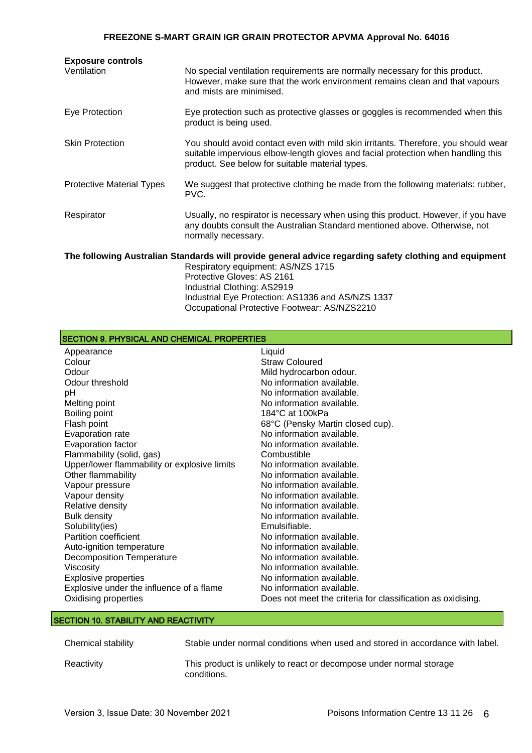| <b>Exposure controls</b>         |                                                                                                                                                                                                                           |
|----------------------------------|---------------------------------------------------------------------------------------------------------------------------------------------------------------------------------------------------------------------------|
| Ventilation                      | No special ventilation requirements are normally necessary for this product.<br>However, make sure that the work environment remains clean and that vapours<br>and mists are minimised.                                   |
| Eye Protection                   | Eye protection such as protective glasses or goggles is recommended when this<br>product is being used.                                                                                                                   |
| <b>Skin Protection</b>           | You should avoid contact even with mild skin irritants. Therefore, you should wear<br>suitable impervious elbow-length gloves and facial protection when handling this<br>product. See below for suitable material types. |
| <b>Protective Material Types</b> | We suggest that protective clothing be made from the following materials: rubber,<br>PVC.                                                                                                                                 |
| Respirator                       | Usually, no respirator is necessary when using this product. However, if you have<br>any doubts consult the Australian Standard mentioned above. Otherwise, not<br>normally necessary.                                    |
|                                  | The following Australian Standards will provide general advice regarding safety clothing and equipment                                                                                                                    |
|                                  | Respiratory equipment: AS/NZS 1715                                                                                                                                                                                        |
|                                  | Protective Gloves: AS 2161                                                                                                                                                                                                |
|                                  | Industrial Clothing: AS2919                                                                                                                                                                                               |

Industrial Eye Protection: AS1336 and AS/NZS 1337 Occupational Protective Footwear: AS/NZS2210

| SECTION 9. PHYSICAL AND CHEMICAL PROPERTIES  |                                                             |  |  |
|----------------------------------------------|-------------------------------------------------------------|--|--|
| Appearance                                   | Liquid                                                      |  |  |
| Colour                                       | <b>Straw Coloured</b>                                       |  |  |
| Odour                                        | Mild hydrocarbon odour.                                     |  |  |
| Odour threshold                              | No information available.                                   |  |  |
| pH                                           | No information available.                                   |  |  |
| Melting point                                | No information available.                                   |  |  |
| Boiling point                                | $184^{\circ}$ C at $100k$ Pa                                |  |  |
| Flash point                                  | 68°C (Pensky Martin closed cup).                            |  |  |
| Evaporation rate                             | No information available.                                   |  |  |
| Evaporation factor                           | No information available.                                   |  |  |
| Flammability (solid, gas)                    | Combustible                                                 |  |  |
| Upper/lower flammability or explosive limits | No information available.                                   |  |  |
| Other flammability                           | No information available.                                   |  |  |
| Vapour pressure                              | No information available.                                   |  |  |
| Vapour density                               | No information available.                                   |  |  |
| Relative density                             | No information available.                                   |  |  |
| <b>Bulk density</b>                          | No information available.                                   |  |  |
| Solubility(ies)                              | Emulsifiable.                                               |  |  |
| <b>Partition coefficient</b>                 | No information available.                                   |  |  |
| Auto-ignition temperature                    | No information available.                                   |  |  |
| <b>Decomposition Temperature</b>             | No information available.                                   |  |  |
| Viscosity                                    | No information available.                                   |  |  |
| <b>Explosive properties</b>                  | No information available.                                   |  |  |
| Explosive under the influence of a flame     | No information available.                                   |  |  |
| Oxidising properties                         | Does not meet the criteria for classification as oxidising. |  |  |

### SECTION 10. STABILITY AND REACTIVITY

| Chemical stability | Stable under normal conditions when used and stored in accordance with label.      |
|--------------------|------------------------------------------------------------------------------------|
| Reactivity         | This product is unlikely to react or decompose under normal storage<br>conditions. |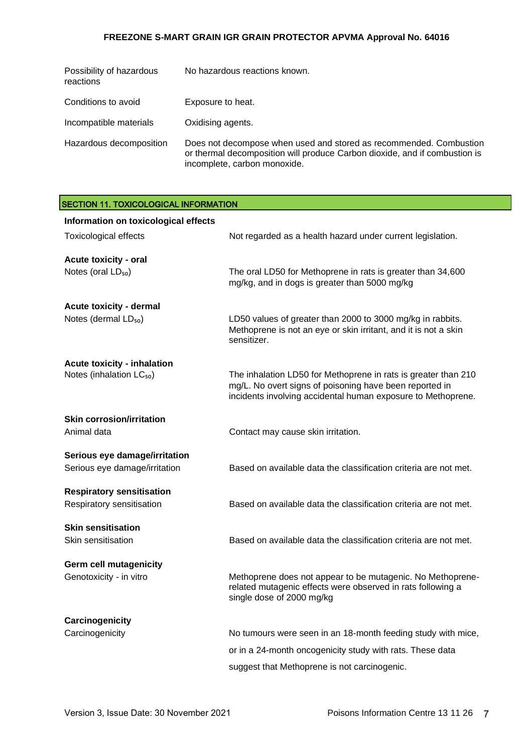| Possibility of hazardous<br>reactions | No hazardous reactions known.                                                                                                                                                    |
|---------------------------------------|----------------------------------------------------------------------------------------------------------------------------------------------------------------------------------|
| Conditions to avoid                   | Exposure to heat.                                                                                                                                                                |
| Incompatible materials                | Oxidising agents.                                                                                                                                                                |
| Hazardous decomposition               | Does not decompose when used and stored as recommended. Combustion<br>or thermal decomposition will produce Carbon dioxide, and if combustion is<br>incomplete, carbon monoxide. |

| <b>SECTION 11. TOXICOLOGICAL INFORMATION</b>                               |                                                                                                                                                                                           |
|----------------------------------------------------------------------------|-------------------------------------------------------------------------------------------------------------------------------------------------------------------------------------------|
| Information on toxicological effects                                       |                                                                                                                                                                                           |
| <b>Toxicological effects</b>                                               | Not regarded as a health hazard under current legislation.                                                                                                                                |
| <b>Acute toxicity - oral</b><br>Notes (oral $LD_{50}$ )                    | The oral LD50 for Methoprene in rats is greater than 34,600<br>mg/kg, and in dogs is greater than 5000 mg/kg                                                                              |
| Acute toxicity - dermal<br>Notes (dermal LD <sub>50</sub> )                | LD50 values of greater than 2000 to 3000 mg/kg in rabbits.<br>Methoprene is not an eye or skin irritant, and it is not a skin<br>sensitizer.                                              |
| <b>Acute toxicity - inhalation</b><br>Notes (inhalation LC <sub>50</sub> ) | The inhalation LD50 for Methoprene in rats is greater than 210<br>mg/L. No overt signs of poisoning have been reported in<br>incidents involving accidental human exposure to Methoprene. |
| <b>Skin corrosion/irritation</b><br>Animal data                            | Contact may cause skin irritation.                                                                                                                                                        |
| Serious eye damage/irritation<br>Serious eye damage/irritation             | Based on available data the classification criteria are not met.                                                                                                                          |
| <b>Respiratory sensitisation</b><br>Respiratory sensitisation              | Based on available data the classification criteria are not met.                                                                                                                          |
| <b>Skin sensitisation</b><br>Skin sensitisation                            | Based on available data the classification criteria are not met.                                                                                                                          |
| <b>Germ cell mutagenicity</b><br>Genotoxicity - in vitro                   | Methoprene does not appear to be mutagenic. No Methoprene-<br>related mutagenic effects were observed in rats following a<br>single dose of 2000 mg/kg                                    |
| Carcinogenicity<br>Carcinogenicity                                         | No tumours were seen in an 18-month feeding study with mice,<br>or in a 24-month oncogenicity study with rats. These data<br>suggest that Methoprene is not carcinogenic.                 |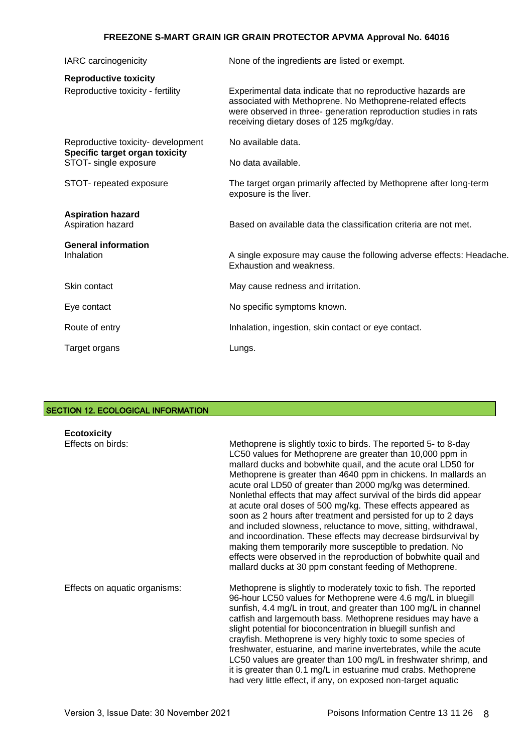| IARC carcinogenicity                                                 | None of the ingredients are listed or exempt.                                                                                                                                                                                            |
|----------------------------------------------------------------------|------------------------------------------------------------------------------------------------------------------------------------------------------------------------------------------------------------------------------------------|
| <b>Reproductive toxicity</b>                                         |                                                                                                                                                                                                                                          |
| Reproductive toxicity - fertility                                    | Experimental data indicate that no reproductive hazards are<br>associated with Methoprene. No Methoprene-related effects<br>were observed in three- generation reproduction studies in rats<br>receiving dietary doses of 125 mg/kg/day. |
| Reproductive toxicity- development<br>Specific target organ toxicity | No available data.                                                                                                                                                                                                                       |
| STOT- single exposure                                                | No data available.                                                                                                                                                                                                                       |
| STOT- repeated exposure                                              | The target organ primarily affected by Methoprene after long-term<br>exposure is the liver.                                                                                                                                              |
| <b>Aspiration hazard</b><br>Aspiration hazard                        | Based on available data the classification criteria are not met.                                                                                                                                                                         |
| <b>General information</b>                                           |                                                                                                                                                                                                                                          |
| Inhalation                                                           | A single exposure may cause the following adverse effects: Headache.<br>Exhaustion and weakness.                                                                                                                                         |
| Skin contact                                                         | May cause redness and irritation.                                                                                                                                                                                                        |
| Eye contact                                                          | No specific symptoms known.                                                                                                                                                                                                              |
| Route of entry                                                       | Inhalation, ingestion, skin contact or eye contact.                                                                                                                                                                                      |
| Target organs                                                        | Lungs.                                                                                                                                                                                                                                   |

### SECTION 12. ECOLOGICAL INFORMATION

| <b>Ecotoxicity</b>            |                                                                                                                                                                                                                                                                                                                                                                                                                                                                                                                                                                                                                                                                                                                                                                                                                                                                       |
|-------------------------------|-----------------------------------------------------------------------------------------------------------------------------------------------------------------------------------------------------------------------------------------------------------------------------------------------------------------------------------------------------------------------------------------------------------------------------------------------------------------------------------------------------------------------------------------------------------------------------------------------------------------------------------------------------------------------------------------------------------------------------------------------------------------------------------------------------------------------------------------------------------------------|
| Effects on birds:             | Methoprene is slightly toxic to birds. The reported 5- to 8-day<br>LC50 values for Methoprene are greater than 10,000 ppm in<br>mallard ducks and bobwhite quail, and the acute oral LD50 for<br>Methoprene is greater than 4640 ppm in chickens. In mallards an<br>acute oral LD50 of greater than 2000 mg/kg was determined.<br>Nonlethal effects that may affect survival of the birds did appear<br>at acute oral doses of 500 mg/kg. These effects appeared as<br>soon as 2 hours after treatment and persisted for up to 2 days<br>and included slowness, reluctance to move, sitting, withdrawal,<br>and incoordination. These effects may decrease birdsurvival by<br>making them temporarily more susceptible to predation. No<br>effects were observed in the reproduction of bobwhite quail and<br>mallard ducks at 30 ppm constant feeding of Methoprene. |
| Effects on aquatic organisms: | Methoprene is slightly to moderately toxic to fish. The reported<br>96-hour LC50 values for Methoprene were 4.6 mg/L in bluegill<br>sunfish, 4.4 mg/L in trout, and greater than 100 mg/L in channel<br>catfish and largemouth bass. Methoprene residues may have a<br>slight potential for bioconcentration in bluegill sunfish and<br>crayfish. Methoprene is very highly toxic to some species of<br>freshwater, estuarine, and marine invertebrates, while the acute<br>LC50 values are greater than 100 mg/L in freshwater shrimp, and<br>it is greater than 0.1 mg/L in estuarine mud crabs. Methoprene<br>had very little effect, if any, on exposed non-target aquatic                                                                                                                                                                                        |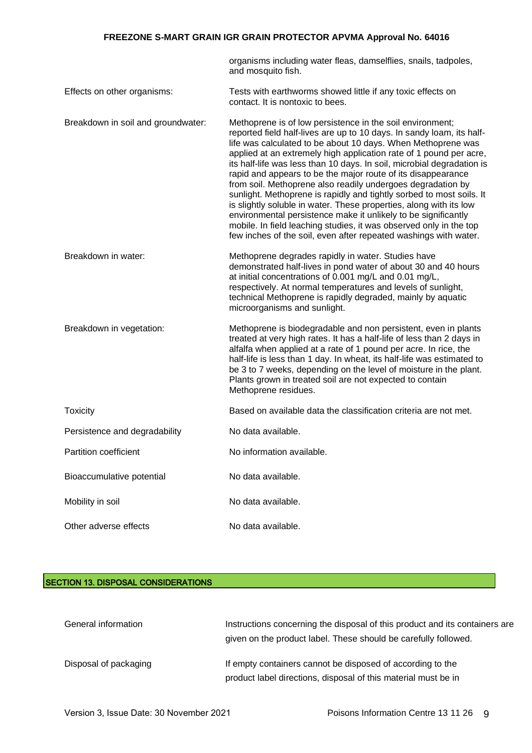|                                    | organisms including water fleas, damselflies, snails, tadpoles,<br>and mosquito fish.                                                                                                                                                                                                                                                                                                                                                                                                                                                                                                                                                                                                                                                                                                                                                       |
|------------------------------------|---------------------------------------------------------------------------------------------------------------------------------------------------------------------------------------------------------------------------------------------------------------------------------------------------------------------------------------------------------------------------------------------------------------------------------------------------------------------------------------------------------------------------------------------------------------------------------------------------------------------------------------------------------------------------------------------------------------------------------------------------------------------------------------------------------------------------------------------|
| Effects on other organisms:        | Tests with earthworms showed little if any toxic effects on<br>contact. It is nontoxic to bees.                                                                                                                                                                                                                                                                                                                                                                                                                                                                                                                                                                                                                                                                                                                                             |
| Breakdown in soil and groundwater: | Methoprene is of low persistence in the soil environment;<br>reported field half-lives are up to 10 days. In sandy loam, its half-<br>life was calculated to be about 10 days. When Methoprene was<br>applied at an extremely high application rate of 1 pound per acre,<br>its half-life was less than 10 days. In soil, microbial degradation is<br>rapid and appears to be the major route of its disappearance<br>from soil. Methoprene also readily undergoes degradation by<br>sunlight. Methoprene is rapidly and tightly sorbed to most soils. It<br>is slightly soluble in water. These properties, along with its low<br>environmental persistence make it unlikely to be significantly<br>mobile. In field leaching studies, it was observed only in the top<br>few inches of the soil, even after repeated washings with water. |
| Breakdown in water:                | Methoprene degrades rapidly in water. Studies have<br>demonstrated half-lives in pond water of about 30 and 40 hours<br>at initial concentrations of 0.001 mg/L and 0.01 mg/L,<br>respectively. At normal temperatures and levels of sunlight,<br>technical Methoprene is rapidly degraded, mainly by aquatic<br>microorganisms and sunlight.                                                                                                                                                                                                                                                                                                                                                                                                                                                                                               |
| Breakdown in vegetation:           | Methoprene is biodegradable and non persistent, even in plants<br>treated at very high rates. It has a half-life of less than 2 days in<br>alfalfa when applied at a rate of 1 pound per acre. In rice, the<br>half-life is less than 1 day. In wheat, its half-life was estimated to<br>be 3 to 7 weeks, depending on the level of moisture in the plant.<br>Plants grown in treated soil are not expected to contain<br>Methoprene residues.                                                                                                                                                                                                                                                                                                                                                                                              |
| <b>Toxicity</b>                    | Based on available data the classification criteria are not met.                                                                                                                                                                                                                                                                                                                                                                                                                                                                                                                                                                                                                                                                                                                                                                            |
| Persistence and degradability      | No data available.                                                                                                                                                                                                                                                                                                                                                                                                                                                                                                                                                                                                                                                                                                                                                                                                                          |
| <b>Partition coefficient</b>       | No information available.                                                                                                                                                                                                                                                                                                                                                                                                                                                                                                                                                                                                                                                                                                                                                                                                                   |
| Bioaccumulative potential          | No data available.                                                                                                                                                                                                                                                                                                                                                                                                                                                                                                                                                                                                                                                                                                                                                                                                                          |
| Mobility in soil                   | No data available.                                                                                                                                                                                                                                                                                                                                                                                                                                                                                                                                                                                                                                                                                                                                                                                                                          |
| Other adverse effects              | No data available.                                                                                                                                                                                                                                                                                                                                                                                                                                                                                                                                                                                                                                                                                                                                                                                                                          |

### SECTION 13. DISPOSAL CONSIDERATIONS

| General information   | Instructions concerning the disposal of this product and its containers are<br>given on the product label. These should be carefully followed. |
|-----------------------|------------------------------------------------------------------------------------------------------------------------------------------------|
| Disposal of packaging | If empty containers cannot be disposed of according to the<br>product label directions, disposal of this material must be in                   |